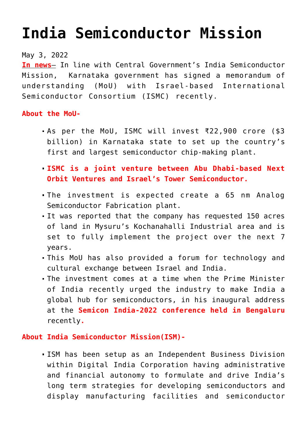## **[India Semiconductor Mission](https://journalsofindia.com/india-semiconductor-mission/)**

## May 3, 2022

**In news**– In line with Central Government's India Semiconductor Mission, Karnataka government has signed a memorandum of understanding (MoU) with Israel-based International Semiconductor Consortium (ISMC) recently.

## **About the MoU-**

- As per the MoU, ISMC will invest ₹22,900 crore (\$3 billion) in Karnataka state to set up the country's first and largest semiconductor chip-making plant.
- **ISMC is a joint venture between Abu Dhabi-based Next Orbit Ventures and Israel's Tower Semiconductor.**
- The investment is expected create a 65 nm Analog Semiconductor Fabrication plant.
- It was reported that the company has requested 150 acres of land in Mysuru's Kochanahalli Industrial area and is set to fully implement the project over the next 7 years.
- This MoU has also provided a forum for technology and cultural exchange between Israel and India.
- The investment comes at a time when the Prime Minister of India recently urged the industry to make India a global hub for semiconductors, in his inaugural address at the **Semicon India-2022 conference held in Bengaluru** recently**.**

## **About India Semiconductor Mission(ISM)-**

ISM has been setup as an Independent Business Division within Digital India Corporation having administrative and financial autonomy to formulate and drive India's long term strategies for developing semiconductors and display manufacturing facilities and semiconductor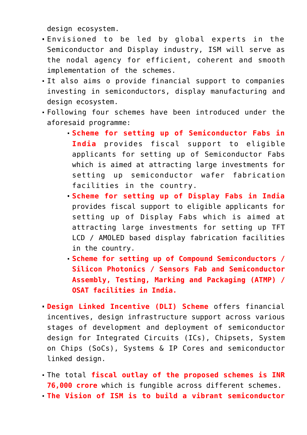design ecosystem.

- Envisioned to be led by global experts in the Semiconductor and Display industry, ISM will serve as the nodal agency for efficient, coherent and smooth implementation of the schemes.
- It also aims o provide financial support to companies investing in semiconductors, display manufacturing and design ecosystem.
- Following four schemes have been introduced under the aforesaid programme:
	- **Scheme for setting up of Semiconductor Fabs in India** provides fiscal support to eligible applicants for setting up of Semiconductor Fabs which is aimed at attracting large investments for setting up semiconductor wafer fabrication facilities in the country.
	- **Scheme for setting up of Display Fabs in India** provides fiscal support to eligible applicants for setting up of Display Fabs which is aimed at attracting large investments for setting up TFT LCD / AMOLED based display fabrication facilities in the country.
	- **Scheme for setting up of Compound Semiconductors / Silicon Photonics / Sensors Fab and Semiconductor Assembly, Testing, Marking and Packaging (ATMP) / OSAT facilities in India.**
- **Design Linked Incentive (DLI) Scheme** offers financial incentives, design infrastructure support across various stages of development and deployment of semiconductor design for Integrated Circuits (ICs), Chipsets, System on Chips (SoCs), Systems & IP Cores and semiconductor linked design.
- The total **fiscal outlay of the proposed schemes is INR 76,000 crore** which is fungible across different schemes.
- **The Vision of ISM is to build a vibrant semiconductor**